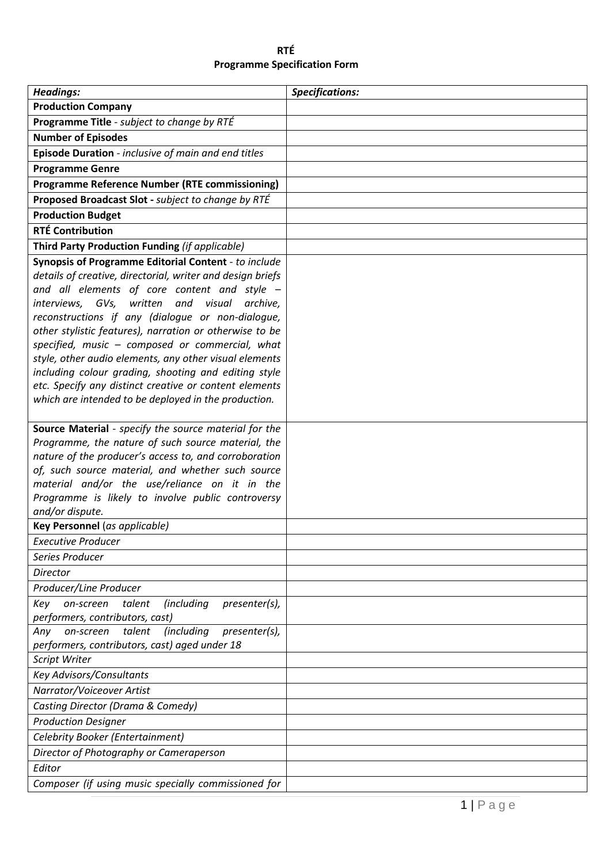| <b>RTÉ</b>                          |  |
|-------------------------------------|--|
| <b>Programme Specification Form</b> |  |

| <b>Headings:</b>                                                                                            | <b>Specifications:</b> |
|-------------------------------------------------------------------------------------------------------------|------------------------|
| <b>Production Company</b>                                                                                   |                        |
| Programme Title - subject to change by RTÉ                                                                  |                        |
| <b>Number of Episodes</b>                                                                                   |                        |
| Episode Duration - inclusive of main and end titles                                                         |                        |
| <b>Programme Genre</b>                                                                                      |                        |
| <b>Programme Reference Number (RTE commissioning)</b>                                                       |                        |
| Proposed Broadcast Slot - subject to change by RTÉ                                                          |                        |
| <b>Production Budget</b>                                                                                    |                        |
| <b>RTÉ Contribution</b>                                                                                     |                        |
| Third Party Production Funding (if applicable)                                                              |                        |
| Synopsis of Programme Editorial Content - to include                                                        |                        |
| details of creative, directorial, writer and design briefs                                                  |                        |
| and all elements of core content and style -<br>written<br>and visual                                       |                        |
| interviews, GVs,<br>archive,<br>reconstructions if any (dialogue or non-dialogue,                           |                        |
| other stylistic features), narration or otherwise to be                                                     |                        |
| specified, music - composed or commercial, what                                                             |                        |
| style, other audio elements, any other visual elements                                                      |                        |
| including colour grading, shooting and editing style                                                        |                        |
| etc. Specify any distinct creative or content elements                                                      |                        |
| which are intended to be deployed in the production.                                                        |                        |
|                                                                                                             |                        |
| Source Material - specify the source material for the<br>Programme, the nature of such source material, the |                        |
| nature of the producer's access to, and corroboration                                                       |                        |
| of, such source material, and whether such source                                                           |                        |
| material and/or the use/reliance on it in the                                                               |                        |
| Programme is likely to involve public controversy                                                           |                        |
| and/or dispute.                                                                                             |                        |
| Key Personnel (as applicable)                                                                               |                        |
| <b>Executive Producer</b>                                                                                   |                        |
| Series Producer                                                                                             |                        |
| Director                                                                                                    |                        |
| Producer/Line Producer                                                                                      |                        |
| <i>(including</i><br>presenter(s),<br>Key<br>on-screen<br>talent<br>performers, contributors, cast)         |                        |
| talent<br><i>(including</i><br>Any<br>on-screen<br>presenter(s),                                            |                        |
| performers, contributors, cast) aged under 18                                                               |                        |
| Script Writer                                                                                               |                        |
| <b>Key Advisors/Consultants</b>                                                                             |                        |
| Narrator/Voiceover Artist                                                                                   |                        |
| Casting Director (Drama & Comedy)                                                                           |                        |
| <b>Production Designer</b>                                                                                  |                        |
| Celebrity Booker (Entertainment)                                                                            |                        |
| Director of Photography or Cameraperson                                                                     |                        |
| Editor                                                                                                      |                        |
| Composer (if using music specially commissioned for                                                         |                        |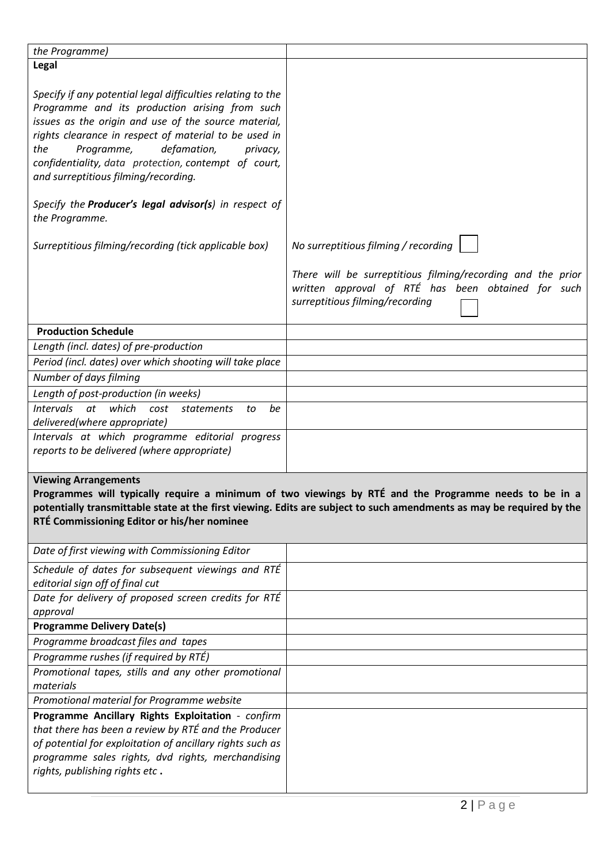| the Programme)                                                                                                                                                                                                                                                                                                                                                                                                                                                                                                     |                                                                                                                                                                                                                               |
|--------------------------------------------------------------------------------------------------------------------------------------------------------------------------------------------------------------------------------------------------------------------------------------------------------------------------------------------------------------------------------------------------------------------------------------------------------------------------------------------------------------------|-------------------------------------------------------------------------------------------------------------------------------------------------------------------------------------------------------------------------------|
|                                                                                                                                                                                                                                                                                                                                                                                                                                                                                                                    |                                                                                                                                                                                                                               |
| Legal                                                                                                                                                                                                                                                                                                                                                                                                                                                                                                              |                                                                                                                                                                                                                               |
| Specify if any potential legal difficulties relating to the<br>Programme and its production arising from such<br>issues as the origin and use of the source material,<br>rights clearance in respect of material to be used in<br>defamation,<br>the<br>Programme,<br>privacy,<br>confidentiality, data protection, contempt of court,<br>and surreptitious filming/recording.<br>Specify the Producer's legal advisor(s) in respect of<br>the Programme.<br>Surreptitious filming/recording (tick applicable box) | No surreptitious filming / recording                                                                                                                                                                                          |
|                                                                                                                                                                                                                                                                                                                                                                                                                                                                                                                    | There will be surreptitious filming/recording and the prior<br>written approval of RTÉ has been obtained for such<br>surreptitious filming/recording                                                                          |
| <b>Production Schedule</b>                                                                                                                                                                                                                                                                                                                                                                                                                                                                                         |                                                                                                                                                                                                                               |
| Length (incl. dates) of pre-production                                                                                                                                                                                                                                                                                                                                                                                                                                                                             |                                                                                                                                                                                                                               |
| Period (incl. dates) over which shooting will take place                                                                                                                                                                                                                                                                                                                                                                                                                                                           |                                                                                                                                                                                                                               |
| Number of days filming                                                                                                                                                                                                                                                                                                                                                                                                                                                                                             |                                                                                                                                                                                                                               |
| Length of post-production (in weeks)                                                                                                                                                                                                                                                                                                                                                                                                                                                                               |                                                                                                                                                                                                                               |
| at<br>which<br><i>Intervals</i><br>be<br>cost<br><i>statements</i><br>to                                                                                                                                                                                                                                                                                                                                                                                                                                           |                                                                                                                                                                                                                               |
| delivered(where appropriate)                                                                                                                                                                                                                                                                                                                                                                                                                                                                                       |                                                                                                                                                                                                                               |
| Intervals at which programme editorial progress<br>reports to be delivered (where appropriate)                                                                                                                                                                                                                                                                                                                                                                                                                     |                                                                                                                                                                                                                               |
| <b>Viewing Arrangements</b><br>RTÉ Commissioning Editor or his/her nominee                                                                                                                                                                                                                                                                                                                                                                                                                                         | Programmes will typically require a minimum of two viewings by RTÉ and the Programme needs to be in a<br>potentially transmittable state at the first viewing. Edits are subject to such amendments as may be required by the |
| Date of first viewing with Commissioning Editor                                                                                                                                                                                                                                                                                                                                                                                                                                                                    |                                                                                                                                                                                                                               |
| Schedule of dates for subsequent viewings and RTÉ<br>editorial sign off of final cut                                                                                                                                                                                                                                                                                                                                                                                                                               |                                                                                                                                                                                                                               |
| Date for delivery of proposed screen credits for RTÉ                                                                                                                                                                                                                                                                                                                                                                                                                                                               |                                                                                                                                                                                                                               |
| approval                                                                                                                                                                                                                                                                                                                                                                                                                                                                                                           |                                                                                                                                                                                                                               |
| <b>Programme Delivery Date(s)</b>                                                                                                                                                                                                                                                                                                                                                                                                                                                                                  |                                                                                                                                                                                                                               |
| Programme broadcast files and tapes                                                                                                                                                                                                                                                                                                                                                                                                                                                                                |                                                                                                                                                                                                                               |
| Programme rushes (if required by RTÉ)                                                                                                                                                                                                                                                                                                                                                                                                                                                                              |                                                                                                                                                                                                                               |
| Promotional tapes, stills and any other promotional<br>materials                                                                                                                                                                                                                                                                                                                                                                                                                                                   |                                                                                                                                                                                                                               |
| Promotional material for Programme website                                                                                                                                                                                                                                                                                                                                                                                                                                                                         |                                                                                                                                                                                                                               |
| Programme Ancillary Rights Exploitation - confirm<br>that there has been a review by RTÉ and the Producer<br>of potential for exploitation of ancillary rights such as<br>programme sales rights, dvd rights, merchandising<br>rights, publishing rights etc.                                                                                                                                                                                                                                                      |                                                                                                                                                                                                                               |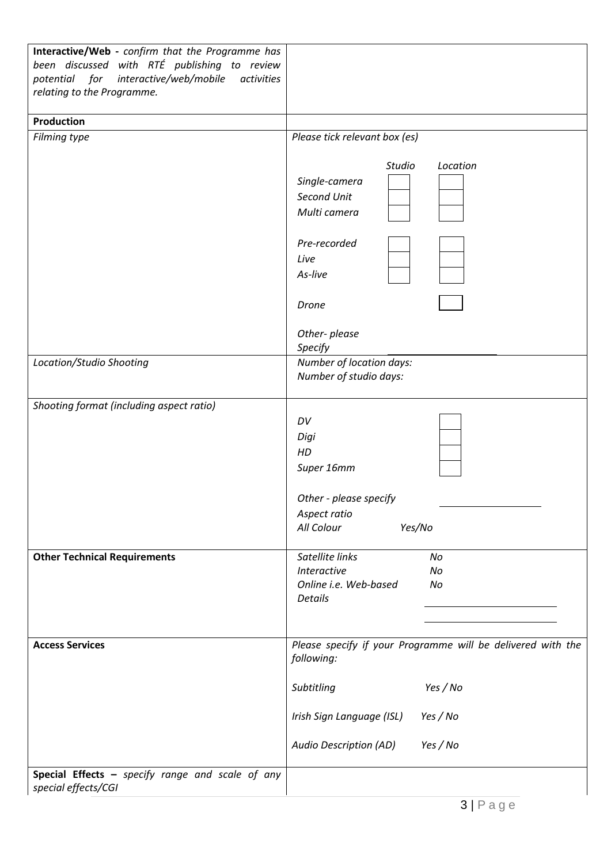| Interactive/Web - confirm that the Programme has<br>been discussed with RTÉ publishing to review<br>for<br>potential<br>interactive/web/mobile<br>activities<br>relating to the Programme. |                                                                                                       |
|--------------------------------------------------------------------------------------------------------------------------------------------------------------------------------------------|-------------------------------------------------------------------------------------------------------|
| Production                                                                                                                                                                                 |                                                                                                       |
| Filming type                                                                                                                                                                               | Please tick relevant box (es)                                                                         |
|                                                                                                                                                                                            | Location<br>Studio<br>Single-camera<br>Second Unit<br>Multi camera<br>Pre-recorded<br>Live<br>As-live |
|                                                                                                                                                                                            | Drone<br>Other-please                                                                                 |
|                                                                                                                                                                                            | Specify                                                                                               |
| Location/Studio Shooting                                                                                                                                                                   | Number of location days:<br>Number of studio days:                                                    |
| Shooting format (including aspect ratio)                                                                                                                                                   | DV<br>Digi<br>HD<br>Super 16mm<br>Other - please specify                                              |
|                                                                                                                                                                                            | Aspect ratio<br>All Colour<br>Yes/No                                                                  |
| <b>Other Technical Requirements</b>                                                                                                                                                        | Satellite links<br>No<br><b>Interactive</b><br>No<br>Online i.e. Web-based<br>No<br><b>Details</b>    |
| <b>Access Services</b>                                                                                                                                                                     | Please specify if your Programme will be delivered with the<br>following:                             |
|                                                                                                                                                                                            | Yes / No<br>Subtitling                                                                                |
|                                                                                                                                                                                            | Irish Sign Language (ISL)<br>Yes / No                                                                 |
|                                                                                                                                                                                            | Audio Description (AD)<br>Yes / No                                                                    |
| Special Effects - specify range and scale of any<br>special effects/CGI                                                                                                                    |                                                                                                       |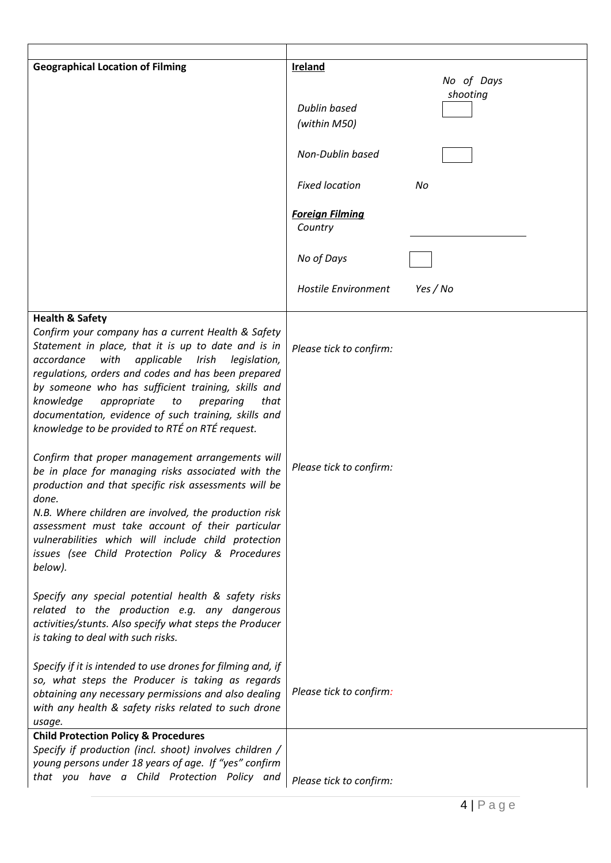| <b>Geographical Location of Filming</b>                                                                                                                                                                                                                                                                                                                                                                     | Ireland                           | No of Days |
|-------------------------------------------------------------------------------------------------------------------------------------------------------------------------------------------------------------------------------------------------------------------------------------------------------------------------------------------------------------------------------------------------------------|-----------------------------------|------------|
|                                                                                                                                                                                                                                                                                                                                                                                                             |                                   | shooting   |
|                                                                                                                                                                                                                                                                                                                                                                                                             | <b>Dublin based</b>               |            |
|                                                                                                                                                                                                                                                                                                                                                                                                             | (within M50)                      |            |
|                                                                                                                                                                                                                                                                                                                                                                                                             | Non-Dublin based                  |            |
|                                                                                                                                                                                                                                                                                                                                                                                                             | <b>Fixed location</b>             | No         |
|                                                                                                                                                                                                                                                                                                                                                                                                             | <b>Foreign Filming</b><br>Country |            |
|                                                                                                                                                                                                                                                                                                                                                                                                             | No of Days                        |            |
|                                                                                                                                                                                                                                                                                                                                                                                                             | Hostile Environment               | Yes / No   |
| <b>Health &amp; Safety</b><br>Confirm your company has a current Health & Safety<br>Statement in place, that it is up to date and is in                                                                                                                                                                                                                                                                     | Please tick to confirm:           |            |
| with<br>applicable<br>Irish<br>accordance<br>legislation,<br>regulations, orders and codes and has been prepared<br>by someone who has sufficient training, skills and<br>knowledge<br>appropriate<br>to<br>preparing<br>that<br>documentation, evidence of such training, skills and<br>knowledge to be provided to RTÉ on RTÉ request.                                                                    |                                   |            |
| Confirm that proper management arrangements will<br>be in place for managing risks associated with the<br>production and that specific risk assessments will be<br>done.<br>N.B. Where children are involved, the production risk<br>assessment must take account of their particular<br>vulnerabilities which will include child protection<br>issues (see Child Protection Policy & Procedures<br>below). | Please tick to confirm:           |            |
| Specify any special potential health & safety risks<br>related to the production e.g. any dangerous<br>activities/stunts. Also specify what steps the Producer<br>is taking to deal with such risks.                                                                                                                                                                                                        |                                   |            |
| Specify if it is intended to use drones for filming and, if<br>so, what steps the Producer is taking as regards<br>obtaining any necessary permissions and also dealing<br>with any health & safety risks related to such drone<br>usage.                                                                                                                                                                   | Please tick to confirm:           |            |
| <b>Child Protection Policy &amp; Procedures</b><br>Specify if production (incl. shoot) involves children /<br>young persons under 18 years of age. If "yes" confirm<br>that you have a Child Protection Policy and                                                                                                                                                                                          | Please tick to confirm:           |            |